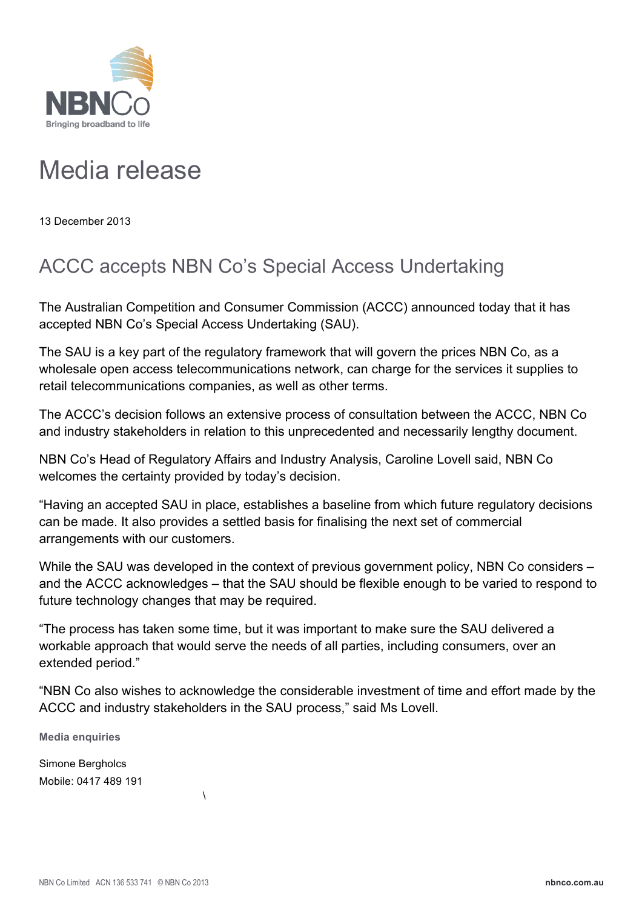

## Media release

13 December 2013

## ACCC accepts NBN Co's Special Access Undertaking

The Australian Competition and Consumer Commission (ACCC) announced today that it has accepted NBN Co's Special Access Undertaking (SAU).

The SAU is a key part of the regulatory framework that will govern the prices NBN Co, as a wholesale open access telecommunications network, can charge for the services it supplies to retail telecommunications companies, as well as other terms.

The ACCC's decision follows an extensive process of consultation between the ACCC, NBN Co and industry stakeholders in relation to this unprecedented and necessarily lengthy document.

NBN Co's Head of Regulatory Affairs and Industry Analysis, Caroline Lovell said, NBN Co welcomes the certainty provided by today's decision.

"Having an accepted SAU in place, establishes a baseline from which future regulatory decisions can be made. It also provides a settled basis for finalising the next set of commercial arrangements with our customers.

While the SAU was developed in the context of previous government policy, NBN Co considers – and the ACCC acknowledges – that the SAU should be flexible enough to be varied to respond to future technology changes that may be required.

"The process has taken some time, but it was important to make sure the SAU delivered a workable approach that would serve the needs of all parties, including consumers, over an extended period."

"NBN Co also wishes to acknowledge the considerable investment of time and effort made by the ACCC and industry stakeholders in the SAU process," said Ms Lovell.

**Media enquiries**

Simone Bergholcs Mobile: 0417 489 191

 $\lambda$